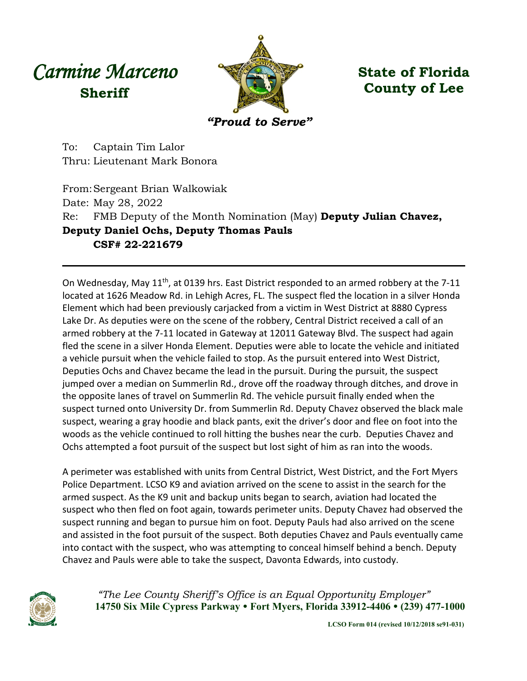## *Carmine Marceno* **Sheriff**



**State of Florida County of Lee**

To: Captain Tim Lalor Thru: Lieutenant Mark Bonora

From:Sergeant Brian Walkowiak Date: May 28, 2022 Re: FMB Deputy of the Month Nomination (May) **Deputy Julian Chavez, Deputy Daniel Ochs, Deputy Thomas Pauls CSF# 22-221679**

On Wednesday, May 11th, at 0139 hrs. East District responded to an armed robbery at the 7-11 located at 1626 Meadow Rd. in Lehigh Acres, FL. The suspect fled the location in a silver Honda Element which had been previously carjacked from a victim in West District at 8880 Cypress Lake Dr. As deputies were on the scene of the robbery, Central District received a call of an armed robbery at the 7-11 located in Gateway at 12011 Gateway Blvd. The suspect had again fled the scene in a silver Honda Element. Deputies were able to locate the vehicle and initiated a vehicle pursuit when the vehicle failed to stop. As the pursuit entered into West District, Deputies Ochs and Chavez became the lead in the pursuit. During the pursuit, the suspect jumped over a median on Summerlin Rd., drove off the roadway through ditches, and drove in the opposite lanes of travel on Summerlin Rd. The vehicle pursuit finally ended when the suspect turned onto University Dr. from Summerlin Rd. Deputy Chavez observed the black male suspect, wearing a gray hoodie and black pants, exit the driver's door and flee on foot into the woods as the vehicle continued to roll hitting the bushes near the curb. Deputies Chavez and Ochs attempted a foot pursuit of the suspect but lost sight of him as ran into the woods.

A perimeter was established with units from Central District, West District, and the Fort Myers Police Department. LCSO K9 and aviation arrived on the scene to assist in the search for the armed suspect. As the K9 unit and backup units began to search, aviation had located the suspect who then fled on foot again, towards perimeter units. Deputy Chavez had observed the suspect running and began to pursue him on foot. Deputy Pauls had also arrived on the scene and assisted in the foot pursuit of the suspect. Both deputies Chavez and Pauls eventually came into contact with the suspect, who was attempting to conceal himself behind a bench. Deputy Chavez and Pauls were able to take the suspect, Davonta Edwards, into custody.



*"The Lee County Sheriff's Office is an Equal Opportunity Employer"* **14750 Six Mile Cypress Parkway Fort Myers, Florida 33912-4406 (239) 477-1000**